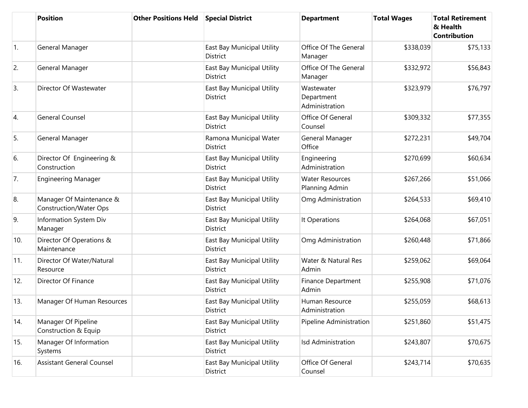|            | <b>Position</b>                                           | <b>Other Positions Held</b> | <b>Special District</b>                       | <b>Department</b>                          | <b>Total Wages</b> | <b>Total Retirement</b><br>& Health<br><b>Contribution</b> |
|------------|-----------------------------------------------------------|-----------------------------|-----------------------------------------------|--------------------------------------------|--------------------|------------------------------------------------------------|
| $\vert$ 1. | General Manager                                           |                             | East Bay Municipal Utility<br><b>District</b> | Office Of The General<br>Manager           | \$338,039          | \$75,133                                                   |
| 2.         | General Manager                                           |                             | East Bay Municipal Utility<br><b>District</b> | Office Of The General<br>Manager           | \$332,972          | \$56,843                                                   |
| 3.         | Director Of Wastewater                                    |                             | East Bay Municipal Utility<br><b>District</b> | Wastewater<br>Department<br>Administration | \$323,979          | \$76,797                                                   |
| 4.         | <b>General Counsel</b>                                    |                             | East Bay Municipal Utility<br>District        | Office Of General<br>Counsel               | \$309,332          | \$77,355                                                   |
| 5.         | General Manager                                           |                             | Ramona Municipal Water<br><b>District</b>     | General Manager<br>Office                  | \$272,231          | \$49,704                                                   |
| 6.         | Director Of Engineering &<br>Construction                 |                             | East Bay Municipal Utility<br><b>District</b> | Engineering<br>Administration              | \$270,699          | \$60,634                                                   |
| 7.         | <b>Engineering Manager</b>                                |                             | East Bay Municipal Utility<br>District        | <b>Water Resources</b><br>Planning Admin   | \$267,266          | \$51,066                                                   |
| 8.         | Manager Of Maintenance &<br><b>Construction/Water Ops</b> |                             | East Bay Municipal Utility<br><b>District</b> | Omg Administration                         | \$264,533          | \$69,410                                                   |
| 9.         | Information System Div<br>Manager                         |                             | East Bay Municipal Utility<br><b>District</b> | It Operations                              | \$264,068          | \$67,051                                                   |
| 10.        | Director Of Operations &<br>Maintenance                   |                             | East Bay Municipal Utility<br><b>District</b> | Omg Administration                         | \$260,448          | \$71,866                                                   |
| 11.        | Director Of Water/Natural<br>Resource                     |                             | East Bay Municipal Utility<br><b>District</b> | Water & Natural Res<br>Admin               | \$259,062          | \$69,064                                                   |
| 12.        | Director Of Finance                                       |                             | East Bay Municipal Utility<br>District        | Finance Department<br>Admin                | \$255,908          | \$71,076                                                   |
| 13.        | Manager Of Human Resources                                |                             | East Bay Municipal Utility<br>District        | Human Resource<br>Administration           | \$255,059          | \$68,613                                                   |
| 14.        | Manager Of Pipeline<br>Construction & Equip               |                             | East Bay Municipal Utility<br>District        | Pipeline Administration                    | \$251,860          | \$51,475                                                   |
| 15.        | Manager Of Information<br>Systems                         |                             | East Bay Municipal Utility<br>District        | Isd Administration                         | \$243,807          | \$70,675                                                   |
| 16.        | <b>Assistant General Counsel</b>                          |                             | East Bay Municipal Utility<br>District        | Office Of General<br>Counsel               | \$243,714          | \$70,635                                                   |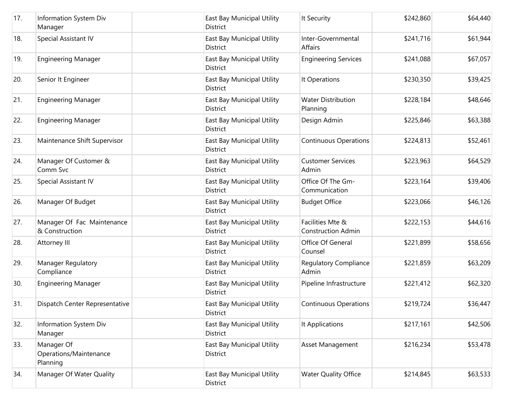| 17. | Information System Div<br>Manager                | East Bay Municipal Utility<br>District        | It Security                                   | \$242,860 | \$64,440 |
|-----|--------------------------------------------------|-----------------------------------------------|-----------------------------------------------|-----------|----------|
| 18. | <b>Special Assistant IV</b>                      | East Bay Municipal Utility<br><b>District</b> | Inter-Governmental<br>Affairs                 | \$241,716 | \$61,944 |
| 19. | <b>Engineering Manager</b>                       | East Bay Municipal Utility<br>District        | <b>Engineering Services</b>                   | \$241,088 | \$67,057 |
| 20. | Senior It Engineer                               | East Bay Municipal Utility<br><b>District</b> | It Operations                                 | \$230,350 | \$39,425 |
| 21. | <b>Engineering Manager</b>                       | East Bay Municipal Utility<br>District        | <b>Water Distribution</b><br>Planning         | \$228,184 | \$48,646 |
| 22. | <b>Engineering Manager</b>                       | East Bay Municipal Utility<br><b>District</b> | Design Admin                                  | \$225,846 | \$63,388 |
| 23. | Maintenance Shift Supervisor                     | East Bay Municipal Utility<br>District        | <b>Continuous Operations</b>                  | \$224,813 | \$52,461 |
| 24. | Manager Of Customer &<br>Comm Svc                | East Bay Municipal Utility<br>District        | <b>Customer Services</b><br>Admin             | \$223,963 | \$64,529 |
| 25. | Special Assistant IV                             | East Bay Municipal Utility<br>District        | Office Of The Gm-<br>Communication            | \$223,164 | \$39,406 |
| 26. | Manager Of Budget                                | East Bay Municipal Utility<br>District        | <b>Budget Office</b>                          | \$223,066 | \$46,126 |
| 27. | Manager Of Fac Maintenance<br>& Construction     | East Bay Municipal Utility<br><b>District</b> | Facilities Mte &<br><b>Construction Admin</b> | \$222,153 | \$44,616 |
| 28. | Attorney III                                     | East Bay Municipal Utility<br>District        | Office Of General<br>Counsel                  | \$221,899 | \$58,656 |
| 29. | <b>Manager Regulatory</b><br>Compliance          | East Bay Municipal Utility<br>District        | <b>Regulatory Compliance</b><br>Admin         | \$221,859 | \$63,209 |
| 30. | <b>Engineering Manager</b>                       | East Bay Municipal Utility<br><b>District</b> | Pipeline Infrastructure                       | \$221,412 | \$62,320 |
| 31. | Dispatch Center Representative                   | East Bay Municipal Utility<br>District        | <b>Continuous Operations</b>                  | \$219,724 | \$36,447 |
| 32. | Information System Div<br>Manager                | East Bay Municipal Utility<br>District        | It Applications                               | \$217,161 | \$42,506 |
| 33. | Manager Of<br>Operations/Maintenance<br>Planning | East Bay Municipal Utility<br>District        | Asset Management                              | \$216,234 | \$53,478 |
| 34. | Manager Of Water Quality                         | East Bay Municipal Utility<br><b>District</b> | <b>Water Quality Office</b>                   | \$214,845 | \$63,533 |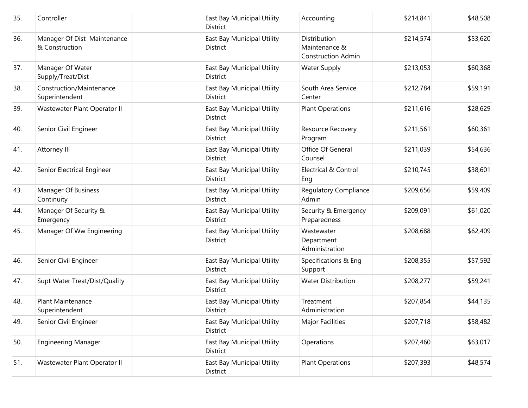| 35. | Controller                                    | East Bay Municipal Utility<br>District        | Accounting                                                 | \$214,841 | \$48,508 |
|-----|-----------------------------------------------|-----------------------------------------------|------------------------------------------------------------|-----------|----------|
| 36. | Manager Of Dist Maintenance<br>& Construction | East Bay Municipal Utility<br>District        | Distribution<br>Maintenance &<br><b>Construction Admin</b> | \$214,574 | \$53,620 |
| 37. | Manager Of Water<br>Supply/Treat/Dist         | East Bay Municipal Utility<br><b>District</b> | <b>Water Supply</b>                                        | \$213,053 | \$60,368 |
| 38. | Construction/Maintenance<br>Superintendent    | East Bay Municipal Utility<br><b>District</b> | South Area Service<br>Center                               | \$212,784 | \$59,191 |
| 39. | Wastewater Plant Operator II                  | East Bay Municipal Utility<br><b>District</b> | <b>Plant Operations</b>                                    | \$211,616 | \$28,629 |
| 40. | Senior Civil Engineer                         | East Bay Municipal Utility<br>District        | Resource Recovery<br>Program                               | \$211,561 | \$60,361 |
| 41. | Attorney III                                  | East Bay Municipal Utility<br>District        | Office Of General<br>Counsel                               | \$211,039 | \$54,636 |
| 42. | Senior Electrical Engineer                    | East Bay Municipal Utility<br>District        | Electrical & Control<br>Eng                                | \$210,745 | \$38,601 |
| 43. | <b>Manager Of Business</b><br>Continuity      | East Bay Municipal Utility<br><b>District</b> | <b>Regulatory Compliance</b><br>Admin                      | \$209,656 | \$59,409 |
| 44. | Manager Of Security &<br>Emergency            | East Bay Municipal Utility<br>District        | Security & Emergency<br>Preparedness                       | \$209,091 | \$61,020 |
| 45. | Manager Of Ww Engineering                     | East Bay Municipal Utility<br>District        | Wastewater<br>Department<br>Administration                 | \$208,688 | \$62,409 |
| 46. | Senior Civil Engineer                         | East Bay Municipal Utility<br><b>District</b> | Specifications & Eng<br>Support                            | \$208,355 | \$57,592 |
| 47. | Supt Water Treat/Dist/Quality                 | East Bay Municipal Utility<br>District        | <b>Water Distribution</b>                                  | \$208,277 | \$59,241 |
| 48. | <b>Plant Maintenance</b><br>Superintendent    | East Bay Municipal Utility<br>District        | Treatment<br>Administration                                | \$207,854 | \$44,135 |
| 49. | Senior Civil Engineer                         | East Bay Municipal Utility<br>District        | <b>Major Facilities</b>                                    | \$207,718 | \$58,482 |
| 50. | <b>Engineering Manager</b>                    | East Bay Municipal Utility<br>District        | Operations                                                 | \$207,460 | \$63,017 |
| 51. | Wastewater Plant Operator II                  | East Bay Municipal Utility<br>District        | <b>Plant Operations</b>                                    | \$207,393 | \$48,574 |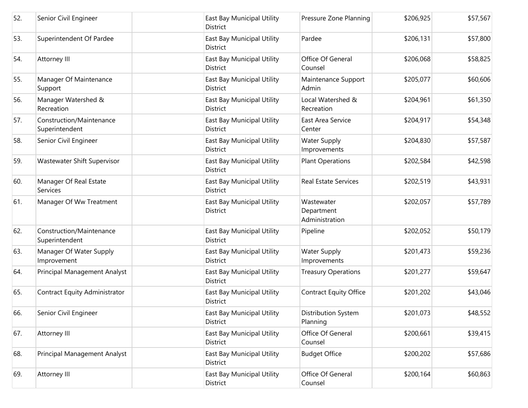| 52. | Senior Civil Engineer                      | East Bay Municipal Utility<br>District        | Pressure Zone Planning                     | \$206,925 | \$57,567 |
|-----|--------------------------------------------|-----------------------------------------------|--------------------------------------------|-----------|----------|
| 53. | Superintendent Of Pardee                   | East Bay Municipal Utility<br><b>District</b> | Pardee                                     | \$206,131 | \$57,800 |
| 54. | Attorney III                               | East Bay Municipal Utility<br>District        | Office Of General<br>Counsel               | \$206,068 | \$58,825 |
| 55. | Manager Of Maintenance<br>Support          | East Bay Municipal Utility<br><b>District</b> | Maintenance Support<br>Admin               | \$205,077 | \$60,606 |
| 56. | Manager Watershed &<br>Recreation          | East Bay Municipal Utility<br>District        | Local Watershed &<br>Recreation            | \$204,961 | \$61,350 |
| 57. | Construction/Maintenance<br>Superintendent | East Bay Municipal Utility<br><b>District</b> | East Area Service<br>Center                | \$204,917 | \$54,348 |
| 58. | Senior Civil Engineer                      | East Bay Municipal Utility<br><b>District</b> | <b>Water Supply</b><br>Improvements        | \$204,830 | \$57,587 |
| 59. | Wastewater Shift Supervisor                | East Bay Municipal Utility<br>District        | <b>Plant Operations</b>                    | \$202,584 | \$42,598 |
| 60. | Manager Of Real Estate<br>Services         | East Bay Municipal Utility<br>District        | <b>Real Estate Services</b>                | \$202,519 | \$43,931 |
| 61. | Manager Of Ww Treatment                    | East Bay Municipal Utility<br>District        | Wastewater<br>Department<br>Administration | \$202,057 | \$57,789 |
| 62. | Construction/Maintenance<br>Superintendent | East Bay Municipal Utility<br><b>District</b> | Pipeline                                   | \$202,052 | \$50,179 |
| 63. | Manager Of Water Supply<br>Improvement     | East Bay Municipal Utility<br><b>District</b> | <b>Water Supply</b><br>Improvements        | \$201,473 | \$59,236 |
| 64. | Principal Management Analyst               | East Bay Municipal Utility<br>District        | <b>Treasury Operations</b>                 | \$201,277 | \$59,647 |
| 65. | Contract Equity Administrator              | East Bay Municipal Utility<br><b>District</b> | <b>Contract Equity Office</b>              | \$201,202 | \$43,046 |
| 66. | Senior Civil Engineer                      | East Bay Municipal Utility<br><b>District</b> | Distribution System<br>Planning            | \$201,073 | \$48,552 |
| 67. | Attorney III                               | East Bay Municipal Utility<br>District        | Office Of General<br>Counsel               | \$200,661 | \$39,415 |
| 68. | Principal Management Analyst               | East Bay Municipal Utility<br>District        | <b>Budget Office</b>                       | \$200,202 | \$57,686 |
| 69. | Attorney III                               | East Bay Municipal Utility<br>District        | Office Of General<br>Counsel               | \$200,164 | \$60,863 |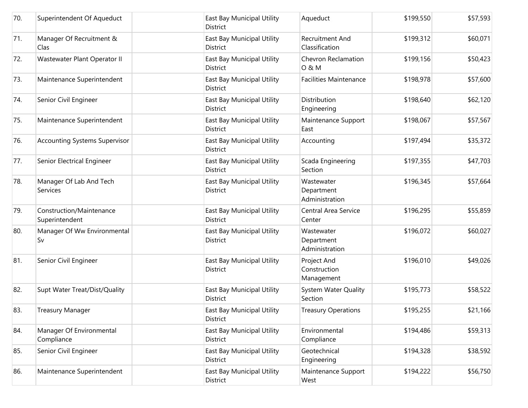| 70. | Superintendent Of Aqueduct                 | East Bay Municipal Utility<br>District        | Aqueduct                                   | \$199,550 | \$57,593 |
|-----|--------------------------------------------|-----------------------------------------------|--------------------------------------------|-----------|----------|
| 71. | Manager Of Recruitment &<br>Clas           | East Bay Municipal Utility<br><b>District</b> | Recruitment And<br>Classification          | \$199,312 | \$60,071 |
| 72. | Wastewater Plant Operator II               | East Bay Municipal Utility<br>District        | Chevron Reclamation<br>0 & M               | \$199,156 | \$50,423 |
| 73. | Maintenance Superintendent                 | East Bay Municipal Utility<br><b>District</b> | <b>Facilities Maintenance</b>              | \$198,978 | \$57,600 |
| 74. | Senior Civil Engineer                      | East Bay Municipal Utility<br>District        | Distribution<br>Engineering                | \$198,640 | \$62,120 |
| 75. | Maintenance Superintendent                 | East Bay Municipal Utility<br><b>District</b> | Maintenance Support<br>East                | \$198,067 | \$57,567 |
| 76. | <b>Accounting Systems Supervisor</b>       | East Bay Municipal Utility<br><b>District</b> | Accounting                                 | \$197,494 | \$35,372 |
| 77. | Senior Electrical Engineer                 | East Bay Municipal Utility<br>District        | Scada Engineering<br>Section               | \$197,355 | \$47,703 |
| 78. | Manager Of Lab And Tech<br>Services        | East Bay Municipal Utility<br><b>District</b> | Wastewater<br>Department<br>Administration | \$196,345 | \$57,664 |
| 79. | Construction/Maintenance<br>Superintendent | East Bay Municipal Utility<br>District        | Central Area Service<br>Center             | \$196,295 | \$55,859 |
| 80. | Manager Of Ww Environmental<br>Sv          | East Bay Municipal Utility<br>District        | Wastewater<br>Department<br>Administration | \$196,072 | \$60,027 |
| 81. | Senior Civil Engineer                      | East Bay Municipal Utility<br><b>District</b> | Project And<br>Construction<br>Management  | \$196,010 | \$49,026 |
| 82. | Supt Water Treat/Dist/Quality              | East Bay Municipal Utility<br>District        | System Water Quality<br>Section            | \$195,773 | \$58,522 |
| 83. | <b>Treasury Manager</b>                    | East Bay Municipal Utility<br>District        | <b>Treasury Operations</b>                 | \$195,255 | \$21,166 |
| 84. | Manager Of Environmental<br>Compliance     | East Bay Municipal Utility<br>District        | Environmental<br>Compliance                | \$194,486 | \$59,313 |
| 85. | Senior Civil Engineer                      | East Bay Municipal Utility<br>District        | Geotechnical<br>Engineering                | \$194,328 | \$38,592 |
| 86. | Maintenance Superintendent                 | East Bay Municipal Utility<br>District        | Maintenance Support<br>West                | \$194,222 | \$56,750 |